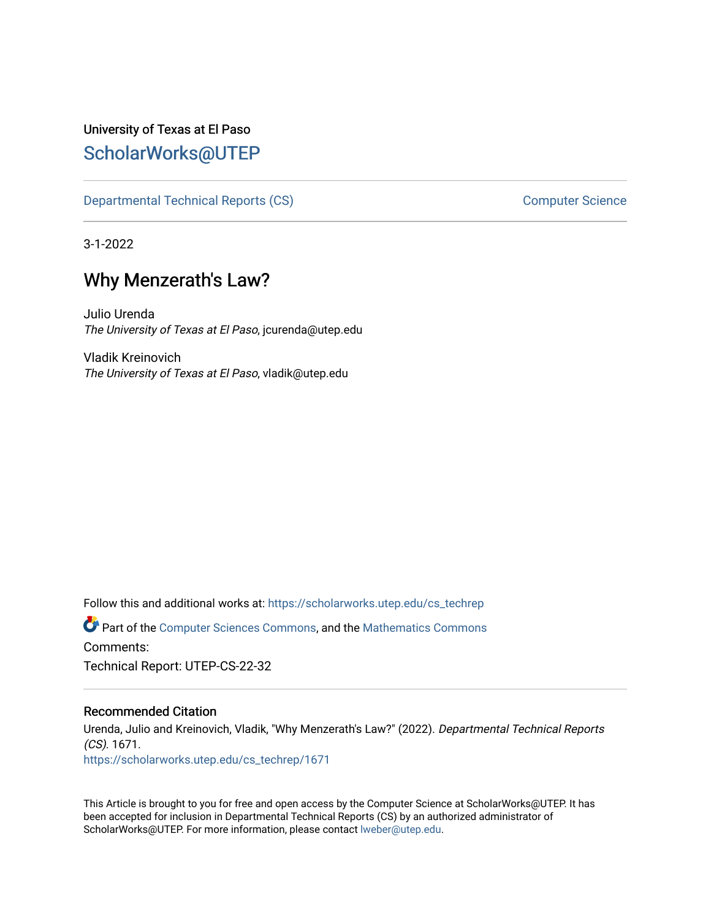## University of Texas at El Paso [ScholarWorks@UTEP](https://scholarworks.utep.edu/)

[Departmental Technical Reports \(CS\)](https://scholarworks.utep.edu/cs_techrep) and the computer Science Computer Science

3-1-2022

# Why Menzerath's Law?

Julio Urenda The University of Texas at El Paso, jcurenda@utep.edu

Vladik Kreinovich The University of Texas at El Paso, vladik@utep.edu

Follow this and additional works at: [https://scholarworks.utep.edu/cs\\_techrep](https://scholarworks.utep.edu/cs_techrep?utm_source=scholarworks.utep.edu%2Fcs_techrep%2F1671&utm_medium=PDF&utm_campaign=PDFCoverPages)  Part of the [Computer Sciences Commons](http://network.bepress.com/hgg/discipline/142?utm_source=scholarworks.utep.edu%2Fcs_techrep%2F1671&utm_medium=PDF&utm_campaign=PDFCoverPages), and the [Mathematics Commons](http://network.bepress.com/hgg/discipline/174?utm_source=scholarworks.utep.edu%2Fcs_techrep%2F1671&utm_medium=PDF&utm_campaign=PDFCoverPages)  Comments: Technical Report: UTEP-CS-22-32

#### Recommended Citation

Urenda, Julio and Kreinovich, Vladik, "Why Menzerath's Law?" (2022). Departmental Technical Reports (CS). 1671. [https://scholarworks.utep.edu/cs\\_techrep/1671](https://scholarworks.utep.edu/cs_techrep/1671?utm_source=scholarworks.utep.edu%2Fcs_techrep%2F1671&utm_medium=PDF&utm_campaign=PDFCoverPages) 

This Article is brought to you for free and open access by the Computer Science at ScholarWorks@UTEP. It has been accepted for inclusion in Departmental Technical Reports (CS) by an authorized administrator of ScholarWorks@UTEP. For more information, please contact [lweber@utep.edu](mailto:lweber@utep.edu).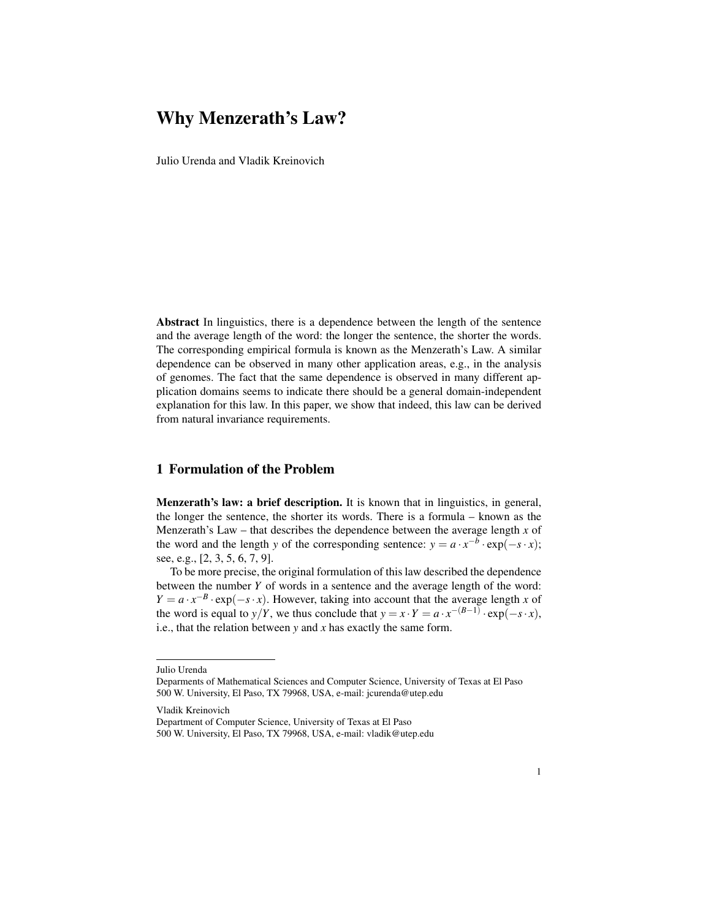### Why Menzerath's Law?

Julio Urenda and Vladik Kreinovich

Abstract In linguistics, there is a dependence between the length of the sentence and the average length of the word: the longer the sentence, the shorter the words. The corresponding empirical formula is known as the Menzerath's Law. A similar dependence can be observed in many other application areas, e.g., in the analysis of genomes. The fact that the same dependence is observed in many different application domains seems to indicate there should be a general domain-independent explanation for this law. In this paper, we show that indeed, this law can be derived from natural invariance requirements.

#### 1 Formulation of the Problem

Menzerath's law: a brief description. It is known that in linguistics, in general, the longer the sentence, the shorter its words. There is a formula – known as the Menzerath's Law – that describes the dependence between the average length  $x$  of the word and the length *y* of the corresponding sentence:  $y = a \cdot x^{-b} \cdot \exp(-s \cdot x)$ ; see, e.g., [2, 3, 5, 6, 7, 9].

To be more precise, the original formulation of this law described the dependence between the number *Y* of words in a sentence and the average length of the word:  $Y = a \cdot x^{-B} \cdot \exp(-s \cdot x)$ . However, taking into account that the average length *x* of the word is equal to *y*/*Y*, we thus conclude that  $y = x \cdot Y = a \cdot x^{-(B-1)} \cdot \exp(-s \cdot x)$ , i.e., that the relation between *y* and *x* has exactly the same form.

Julio Urenda

Deparments of Mathematical Sciences and Computer Science, University of Texas at El Paso 500 W. University, El Paso, TX 79968, USA, e-mail: jcurenda@utep.edu

Vladik Kreinovich

Department of Computer Science, University of Texas at El Paso

<sup>500</sup> W. University, El Paso, TX 79968, USA, e-mail: vladik@utep.edu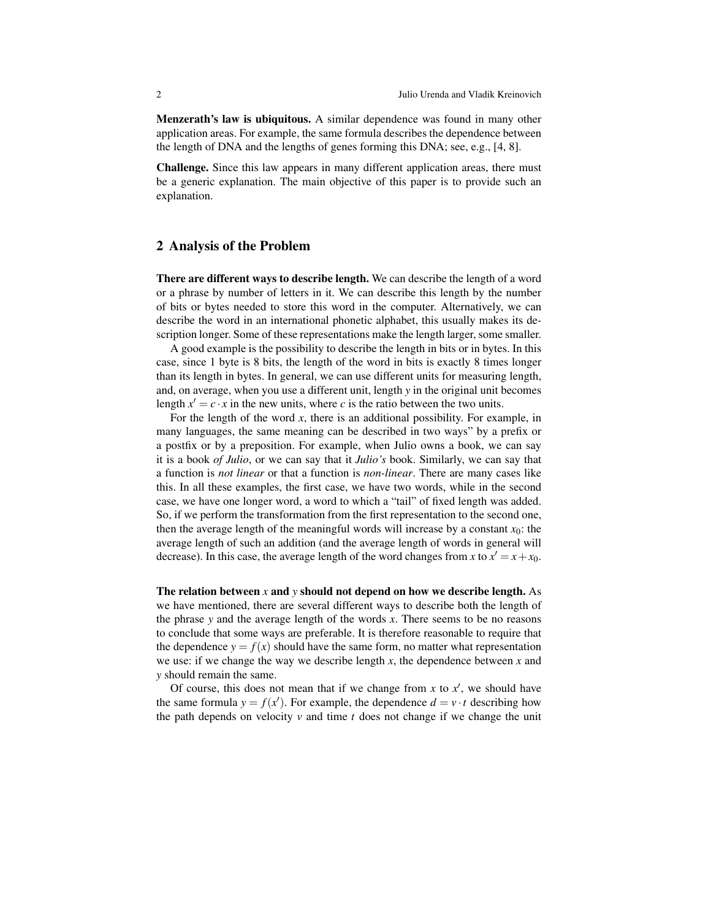Menzerath's law is ubiquitous. A similar dependence was found in many other application areas. For example, the same formula describes the dependence between the length of DNA and the lengths of genes forming this DNA; see, e.g., [4, 8].

Challenge. Since this law appears in many different application areas, there must be a generic explanation. The main objective of this paper is to provide such an explanation.

#### 2 Analysis of the Problem

There are different ways to describe length. We can describe the length of a word or a phrase by number of letters in it. We can describe this length by the number of bits or bytes needed to store this word in the computer. Alternatively, we can describe the word in an international phonetic alphabet, this usually makes its description longer. Some of these representations make the length larger, some smaller.

A good example is the possibility to describe the length in bits or in bytes. In this case, since 1 byte is 8 bits, the length of the word in bits is exactly 8 times longer than its length in bytes. In general, we can use different units for measuring length, and, on average, when you use a different unit, length *y* in the original unit becomes length  $x' = c \cdot x$  in the new units, where *c* is the ratio between the two units.

For the length of the word *x*, there is an additional possibility. For example, in many languages, the same meaning can be described in two ways" by a prefix or a postfix or by a preposition. For example, when Julio owns a book, we can say it is a book *of Julio*, or we can say that it *Julio's* book. Similarly, we can say that a function is *not linear* or that a function is *non-linear*. There are many cases like this. In all these examples, the first case, we have two words, while in the second case, we have one longer word, a word to which a "tail" of fixed length was added. So, if we perform the transformation from the first representation to the second one, then the average length of the meaningful words will increase by a constant  $x_0$ : the average length of such an addition (and the average length of words in general will decrease). In this case, the average length of the word changes from *x* to  $x' = x + x_0$ .

The relation between *x* and *y* should not depend on how we describe length. As we have mentioned, there are several different ways to describe both the length of the phrase *y* and the average length of the words *x*. There seems to be no reasons to conclude that some ways are preferable. It is therefore reasonable to require that the dependence  $y = f(x)$  should have the same form, no matter what representation we use: if we change the way we describe length *x*, the dependence between *x* and *y* should remain the same.

Of course, this does not mean that if we change from  $x$  to  $x'$ , we should have the same formula  $y = f(x')$ . For example, the dependence  $d = v \cdot t$  describing how the path depends on velocity  $\nu$  and time  $t$  does not change if we change the unit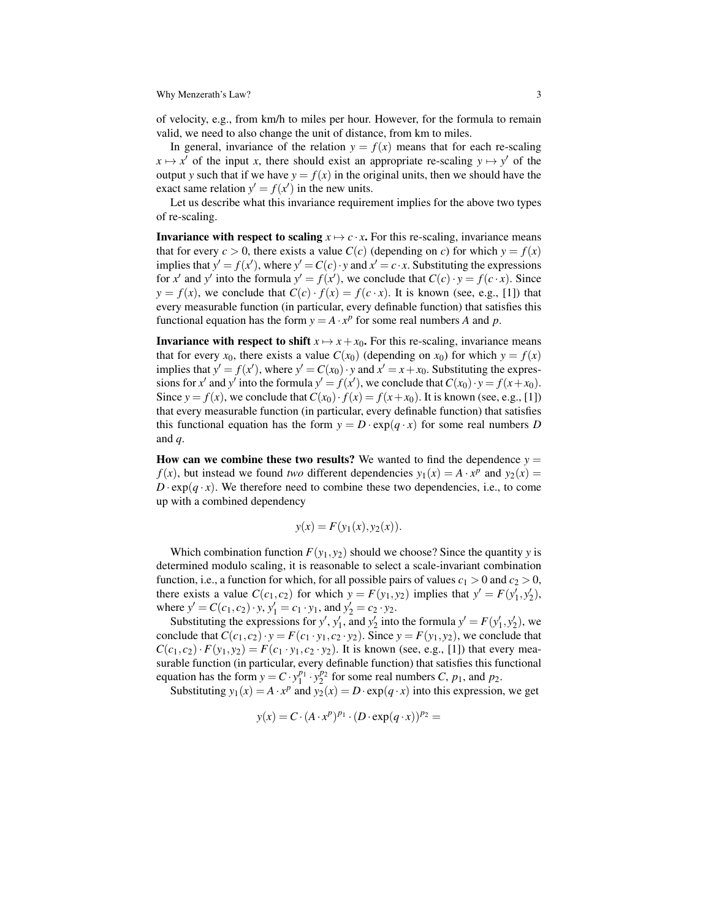Why Menzerath's Law? 3

of velocity, e.g., from km/h to miles per hour. However, for the formula to remain valid, we need to also change the unit of distance, from km to miles.

In general, invariance of the relation  $y = f(x)$  means that for each re-scaling  $x \mapsto x'$  of the input *x*, there should exist an appropriate re-scaling  $y \mapsto y'$  of the output *y* such that if we have  $y = f(x)$  in the original units, then we should have the exact same relation  $y' = f(x')$  in the new units.

Let us describe what this invariance requirement implies for the above two types of re-scaling.

**Invariance with respect to scaling**  $x \mapsto c \cdot x$ **.** For this re-scaling, invariance means that for every  $c > 0$ , there exists a value  $C(c)$  (depending on *c*) for which  $y = f(x)$ implies that  $y' = f(x')$ , where  $y' = C(c) \cdot y$  and  $x' = c \cdot x$ . Substituting the expressions for *x'* and *y'* into the formula  $y' = f(x')$ , we conclude that  $C(c) \cdot y = f(c \cdot x)$ . Since  $y = f(x)$ , we conclude that  $C(c) \cdot f(x) = f(c \cdot x)$ . It is known (see, e.g., [1]) that every measurable function (in particular, every definable function) that satisfies this functional equation has the form  $y = A \cdot x^p$  for some real numbers *A* and *p*.

**Invariance with respect to shift**  $x \mapsto x + x_0$ . For this re-scaling, invariance means that for every  $x_0$ , there exists a value  $C(x_0)$  (depending on  $x_0$ ) for which  $y = f(x)$ implies that  $y' = f(x')$ , where  $y' = C(x_0) \cdot y$  and  $x' = x + x_0$ . Substituting the expressions for *x*<sup>'</sup> and *y*<sup>'</sup> into the formula  $y' = f(x')$ , we conclude that  $C(x_0) \cdot y = f(x + x_0)$ . Since  $y = f(x)$ , we conclude that  $C(x_0) \cdot f(x) = f(x + x_0)$ . It is known (see, e.g., [1]) that every measurable function (in particular, every definable function) that satisfies this functional equation has the form  $y = D \cdot \exp(q \cdot x)$  for some real numbers *D* and *q*.

How can we combine these two results? We wanted to find the dependence  $y =$ *f*(*x*), but instead we found *two* different dependencies  $y_1(x) = A \cdot x^p$  and  $y_2(x) = A \cdot x^p$  $D \cdot \exp(q \cdot x)$ . We therefore need to combine these two dependencies, i.e., to come up with a combined dependency

$$
y(x) = F(y_1(x), y_2(x)).
$$

Which combination function  $F(y_1, y_2)$  should we choose? Since the quantity *y* is determined modulo scaling, it is reasonable to select a scale-invariant combination function, i.e., a function for which, for all possible pairs of values  $c_1 > 0$  and  $c_2 > 0$ , there exists a value  $C(c_1, c_2)$  for which  $y = F(y_1, y_2)$  implies that  $y' = F(y'_1, y'_2)$ , where  $y' = C(c_1, c_2) \cdot y$ ,  $y'_1 = c_1 \cdot y_1$ , and  $y'_2 = c_2 \cdot y_2$ .

Substituting the expressions for *y'*, *y'*<sub>1</sub>, and *y'*<sub>2</sub> into the formula  $y' = F(y'_1, y'_2)$ , we conclude that  $C(c_1, c_2) \cdot y = F(c_1 \cdot y_1, c_2 \cdot y_2)$ . Since  $y = F(y_1, y_2)$ , we conclude that  $C(c_1, c_2) \cdot F(y_1, y_2) = F(c_1 \cdot y_1, c_2 \cdot y_2)$ . It is known (see, e.g., [1]) that every measurable function (in particular, every definable function) that satisfies this functional equation has the form  $y = C \cdot y_1^{p_1} \cdot y_2^{p_2}$  for some real numbers *C*,  $p_1$ , and  $p_2$ .

Substituting  $y_1(x) = A \cdot x^p$  and  $y_2(x) = D \cdot \exp(q \cdot x)$  into this expression, we get

$$
y(x) = C \cdot (A \cdot x^p)^{p_1} \cdot (D \cdot \exp(q \cdot x))^{p_2} =
$$